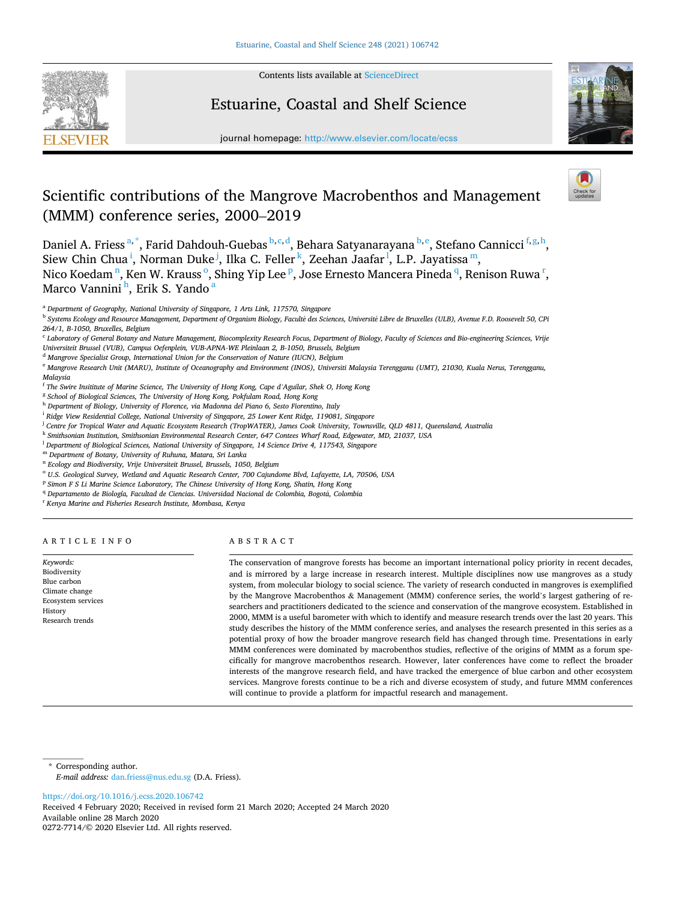

Contents lists available at ScienceDirect

# Estuarine, Coastal and Shelf Science



journal homepage: http://www.elsevier.com/locate/ecss

# Scientific contributions of the Mangrove Macrobenthos and Management (MMM) conference series, 2000–2019

Daniel A. Friess <sup>a,\*</sup>, Farid Dahdouh-Guebas <sup>b, c, d</sup>, Behara Satyanarayana <sup>b, e</sup>, Stefano Cannicci <sup>f, g, h</sup>, Siew Chin Chua<sup>i</sup>, Norman Duke<sup>j</sup>, Ilka C. Feller<sup>k</sup>, Zeehan Jaafar<sup>1</sup>, L.P. Jayatissa<sup>m</sup>, Nico Koedam <sup>n</sup>, Ken W. Krauss <sup>o</sup>, Shing Yip Lee <sup>p</sup>, Jose Ernesto Mancera Pineda <sup>q</sup>, Renison Ruwa <sup>r</sup>, Marco Vannini<sup>h</sup>, Erik S. Yando <sup>a</sup>

<sup>b</sup> *Systems Ecology and Resource Management, Department of Organism Biology, Facult*�*e des Sciences, Universit*�*e Libre de Bruxelles (ULB), Avenue F.D. Roosevelt 50, CPi 264/1, B-1050, Bruxelles, Belgium* 

<sup>c</sup> *Laboratory of General Botany and Nature Management, Biocomplexity Research Focus, Department of Biology, Faculty of Sciences and Bio-engineering Sciences, Vrije Universiteit Brussel (VUB), Campus Oefenplein, VUB-APNA-WE Pleinlaan 2, B-1050, Brussels, Belgium* 

<sup>d</sup> *Mangrove Specialist Group, International Union for the Conservation of Nature (IUCN), Belgium* 

<sup>e</sup> *Mangrove Research Unit (MARU), Institute of Oceanography and Environment (INOS), Universiti Malaysia Terengganu (UMT), 21030, Kuala Nerus, Terengganu, Malaysia* 

- <sup>f</sup> *The Swire Insititute of Marine Science, The University of Hong Kong, Cape d'Aguilar, Shek O, Hong Kong*
- <sup>g</sup> School of Biological Sciences, The University of Hong Kong, Pokfulam Road, Hong Kong
- <sup>h</sup> *Department of Biology, University of Florence, via Madonna del Piano 6, Sesto Fiorentino, Italy*
- <sup>i</sup> *Ridge View Residential College, National University of Singapore, 25 Lower Kent Ridge, 119081, Singapore*
- <sup>j</sup> *Centre for Tropical Water and Aquatic Ecosystem Research (TropWATER), James Cook University, Townsville, QLD 4811, Queensland, Australia*
- <sup>k</sup> *Smithsonian Institution, Smithsonian Environmental Research Center, 647 Contees Wharf Road, Edgewater, MD, 21037, USA*

<sup>l</sup> *Department of Biological Sciences, National University of Singapore, 14 Science Drive 4, 117543, Singapore* 

<sup>m</sup> *Department of Botany, University of Ruhuna, Matara, Sri Lanka* 

- <sup>n</sup> *Ecology and Biodiversity, Vrije Universiteit Brussel, Brussels, 1050, Belgium*
- <sup>o</sup> *U.S. Geological Survey, Wetland and Aquatic Research Center, 700 Cajundome Blvd, Lafayette, LA, 70506, USA*
- <sup>p</sup> *Simon F S Li Marine Science Laboratory, The Chinese University of Hong Kong, Shatin, Hong Kong*
- <sup>q</sup> Departamento de Biología, Facultad de Ciencias. Universidad Nacional de Colombia, Bogotá, Colombia

<sup>r</sup> *Kenya Marine and Fisheries Research Institute, Mombasa, Kenya* 

ARTICLE INFO

*Keywords:*  Biodiversity Blue carbon Climate change Ecosystem services History Research trends

# ABSTRACT

The conservation of mangrove forests has become an important international policy priority in recent decades, and is mirrored by a large increase in research interest. Multiple disciplines now use mangroves as a study system, from molecular biology to social science. The variety of research conducted in mangroves is exemplified by the Mangrove Macrobenthos & Management (MMM) conference series, the world's largest gathering of researchers and practitioners dedicated to the science and conservation of the mangrove ecosystem. Established in 2000, MMM is a useful barometer with which to identify and measure research trends over the last 20 years. This study describes the history of the MMM conference series, and analyses the research presented in this series as a potential proxy of how the broader mangrove research field has changed through time. Presentations in early MMM conferences were dominated by macrobenthos studies, reflective of the origins of MMM as a forum specifically for mangrove macrobenthos research. However, later conferences have come to reflect the broader interests of the mangrove research field, and have tracked the emergence of blue carbon and other ecosystem services. Mangrove forests continue to be a rich and diverse ecosystem of study, and future MMM conferences will continue to provide a platform for impactful research and management.

\* Corresponding author. *E-mail address:* dan.friess@nus.edu.sg (D.A. Friess).

https://doi.org/10.1016/j.ecss.2020.106742

Available online 28 March 2020 0272-7714/© 2020 Elsevier Ltd. All rights reserved. Received 4 February 2020; Received in revised form 21 March 2020; Accepted 24 March 2020

<sup>a</sup> *Department of Geography, National University of Singapore, 1 Arts Link, 117570, Singapore*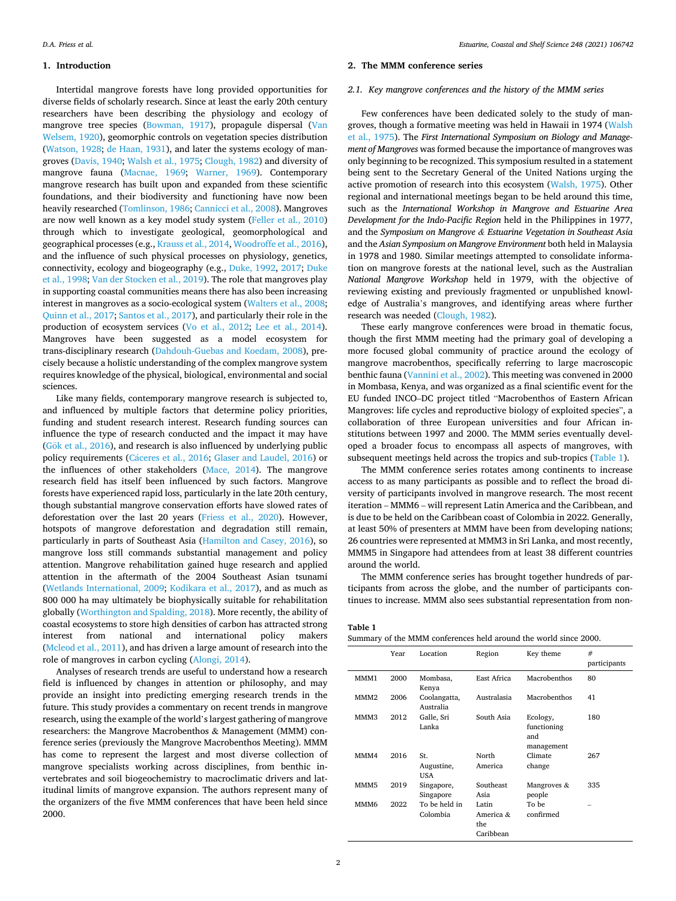#### **1. Introduction**

Intertidal mangrove forests have long provided opportunities for diverse fields of scholarly research. Since at least the early 20th century researchers have been describing the physiology and ecology of mangrove tree species [\(Bowman, 1917](#page-5-0)), propagule dispersal ([Van](#page-6-0)  [Welsem, 1920\)](#page-6-0), geomorphic controls on vegetation species distribution ([Watson, 1928;](#page-6-0) [de Haan, 1931](#page-5-0)), and later the systems ecology of mangroves ([Davis, 1940;](#page-5-0) [Walsh et al., 1975](#page-6-0); [Clough, 1982](#page-5-0)) and diversity of mangrove fauna [\(Macnae, 1969;](#page-5-0) [Warner, 1969](#page-6-0)). Contemporary mangrove research has built upon and expanded from these scientific foundations, and their biodiversity and functioning have now been heavily researched [\(Tomlinson, 1986](#page-6-0); [Cannicci et al., 2008](#page-5-0)). Mangroves are now well known as a key model study system ([Feller et al., 2010\)](#page-5-0) through which to investigate geological, geomorphological and geographical processes (e.g., [Krauss et al., 2014](#page-5-0), [Woodroffe et al., 2016](#page-6-0)), and the influence of such physical processes on physiology, genetics, connectivity, ecology and biogeography (e.g., [Duke, 1992,](#page-5-0) [2017; Duke](#page-5-0)  [et al., 1998;](#page-5-0) [Van der Stocken et al., 2019](#page-6-0)). The role that mangroves play in supporting coastal communities means there has also been increasing interest in mangroves as a socio-ecological system ([Walters et al., 2008](#page-6-0); [Quinn et al., 2017; Santos et al., 2017](#page-6-0)), and particularly their role in the production of ecosystem services ([Vo et al., 2012;](#page-6-0) [Lee et al., 2014](#page-5-0)). Mangroves have been suggested as a model ecosystem for trans-disciplinary research ([Dahdouh-Guebas and Koedam, 2008\)](#page-5-0), precisely because a holistic understanding of the complex mangrove system requires knowledge of the physical, biological, environmental and social sciences.

Like many fields, contemporary mangrove research is subjected to, and influenced by multiple factors that determine policy priorities, funding and student research interest. Research funding sources can influence the type of research conducted and the impact it may have (Gök [et al., 2016](#page-5-0)), and research is also influenced by underlying public policy requirements (Cáceres [et al., 2016;](#page-5-0) [Glaser and Laudel, 2016\)](#page-5-0) or the influences of other stakeholders ([Mace, 2014](#page-5-0)). The mangrove research field has itself been influenced by such factors. Mangrove forests have experienced rapid loss, particularly in the late 20th century, though substantial mangrove conservation efforts have slowed rates of deforestation over the last 20 years ([Friess et al., 2020](#page-5-0)). However, hotspots of mangrove deforestation and degradation still remain, particularly in parts of Southeast Asia [\(Hamilton and Casey, 2016](#page-5-0)), so mangrove loss still commands substantial management and policy attention. Mangrove rehabilitation gained huge research and applied attention in the aftermath of the 2004 Southeast Asian tsunami ([Wetlands International, 2009;](#page-6-0) [Kodikara et al., 2017](#page-5-0)), and as much as 800 000 ha may ultimately be biophysically suitable for rehabilitation globally ([Worthington and Spalding, 2018\)](#page-6-0). More recently, the ability of coastal ecosystems to store high densities of carbon has attracted strong interest from national and international policy makers ([Mcleod et al., 2011](#page-5-0)), and has driven a large amount of research into the role of mangroves in carbon cycling [\(Alongi, 2014\)](#page-5-0).

Analyses of research trends are useful to understand how a research field is influenced by changes in attention or philosophy, and may provide an insight into predicting emerging research trends in the future. This study provides a commentary on recent trends in mangrove research, using the example of the world's largest gathering of mangrove researchers: the Mangrove Macrobenthos & Management (MMM) conference series (previously the Mangrove Macrobenthos Meeting). MMM has come to represent the largest and most diverse collection of mangrove specialists working across disciplines, from benthic invertebrates and soil biogeochemistry to macroclimatic drivers and latitudinal limits of mangrove expansion. The authors represent many of the organizers of the five MMM conferences that have been held since 2000.

## **2. The MMM conference series**

### *2.1. Key mangrove conferences and the history of the MMM series*

Few conferences have been dedicated solely to the study of mangroves, though a formative meeting was held in Hawaii in 1974 [\(Walsh](#page-6-0)  [et al., 1975\)](#page-6-0). The *First International Symposium on Biology and Management of Mangroves* was formed because the importance of mangroves was only beginning to be recognized. This symposium resulted in a statement being sent to the Secretary General of the United Nations urging the active promotion of research into this ecosystem [\(Walsh, 1975\)](#page-6-0). Other regional and international meetings began to be held around this time, such as the *International Workshop in Mangrove and Estuarine Area Development for the Indo-Pacific Region* held in the Philippines in 1977, and the *Symposium on Mangrove & Estuarine Vegetation in Southeast Asia*  and the *Asian Symposium on Mangrove Environment* both held in Malaysia in 1978 and 1980. Similar meetings attempted to consolidate information on mangrove forests at the national level, such as the Australian *National Mangrove Workshop* held in 1979, with the objective of reviewing existing and previously fragmented or unpublished knowledge of Australia's mangroves, and identifying areas where further research was needed [\(Clough, 1982\)](#page-5-0).

These early mangrove conferences were broad in thematic focus, though the first MMM meeting had the primary goal of developing a more focused global community of practice around the ecology of mangrove macrobenthos, specifically referring to large macroscopic benthic fauna ([Vannini et al., 2002](#page-6-0)). This meeting was convened in 2000 in Mombasa, Kenya, and was organized as a final scientific event for the EU funded INCO–DC project titled "Macrobenthos of Eastern African Mangroves: life cycles and reproductive biology of exploited species", a collaboration of three European universities and four African institutions between 1997 and 2000. The MMM series eventually developed a broader focus to encompass all aspects of mangroves, with subsequent meetings held across the tropics and sub-tropics (Table 1).

The MMM conference series rotates among continents to increase access to as many participants as possible and to reflect the broad diversity of participants involved in mangrove research. The most recent iteration – MMM6 – will represent Latin America and the Caribbean, and is due to be held on the Caribbean coast of Colombia in 2022. Generally, at least 50% of presenters at MMM have been from developing nations; 26 countries were represented at MMM3 in Sri Lanka, and most recently, MMM5 in Singapore had attendees from at least 38 different countries around the world.

The MMM conference series has brought together hundreds of participants from across the globe, and the number of participants continues to increase. MMM also sees substantial representation from non-

|--|

| Summary of the MMM conferences held around the world since 2000. |  |  |  |  |  |
|------------------------------------------------------------------|--|--|--|--|--|
|------------------------------------------------------------------|--|--|--|--|--|

|                  | Year | Location                  | Region                                 | Key theme                                    | #<br>participants |
|------------------|------|---------------------------|----------------------------------------|----------------------------------------------|-------------------|
| MMM1             | 2000 | Mombasa,<br>Kenya         | East Africa                            | Macrobenthos                                 | 80                |
| MMM <sub>2</sub> | 2006 | Coolangatta,<br>Australia | Australasia                            | Macrobenthos                                 | 41                |
| MMM3             | 2012 | Galle, Sri<br>Lanka       | South Asia                             | Ecology,<br>functioning<br>and<br>management | 180               |
| MMM4             | 2016 | St.<br>Augustine,<br>USA  | North<br>America                       | Climate<br>change                            | 267               |
| MMM5             | 2019 | Singapore,<br>Singapore   | Southeast<br>Asia                      | Mangroves &<br>people                        | 335               |
| MMM6             | 2022 | To be held in<br>Colombia | Latin<br>America &<br>the<br>Caribbean | To be<br>confirmed                           |                   |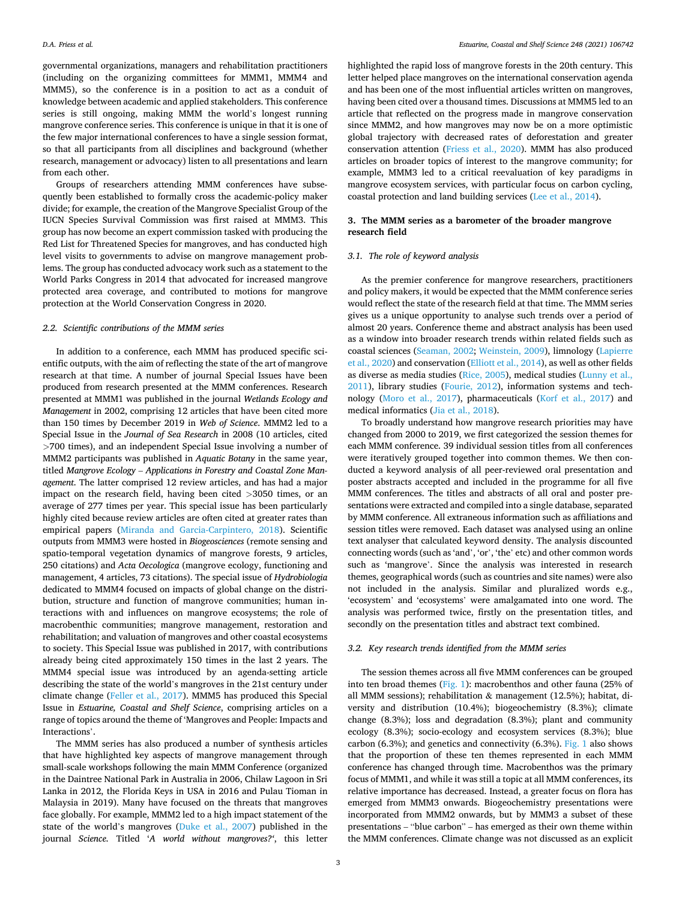governmental organizations, managers and rehabilitation practitioners (including on the organizing committees for MMM1, MMM4 and MMM5), so the conference is in a position to act as a conduit of knowledge between academic and applied stakeholders. This conference series is still ongoing, making MMM the world's longest running mangrove conference series. This conference is unique in that it is one of the few major international conferences to have a single session format, so that all participants from all disciplines and background (whether research, management or advocacy) listen to all presentations and learn from each other.

Groups of researchers attending MMM conferences have subsequently been established to formally cross the academic-policy maker divide; for example, the creation of the Mangrove Specialist Group of the IUCN Species Survival Commission was first raised at MMM3. This group has now become an expert commission tasked with producing the Red List for Threatened Species for mangroves, and has conducted high level visits to governments to advise on mangrove management problems. The group has conducted advocacy work such as a statement to the World Parks Congress in 2014 that advocated for increased mangrove protected area coverage, and contributed to motions for mangrove protection at the World Conservation Congress in 2020.

#### *2.2. Scientific contributions of the MMM series*

In addition to a conference, each MMM has produced specific scientific outputs, with the aim of reflecting the state of the art of mangrove research at that time. A number of journal Special Issues have been produced from research presented at the MMM conferences. Research presented at MMM1 was published in the journal *Wetlands Ecology and Management* in 2002, comprising 12 articles that have been cited more than 150 times by December 2019 in *Web of Science*. MMM2 led to a Special Issue in the *Journal of Sea Research* in 2008 (10 articles, cited *>*700 times), and an independent Special Issue involving a number of MMM2 participants was published in *Aquatic Botany* in the same year, titled *Mangrove Ecology* – *Applications in Forestry and Coastal Zone Management*. The latter comprised 12 review articles, and has had a major impact on the research field, having been cited *>*3050 times, or an average of 277 times per year. This special issue has been particularly highly cited because review articles are often cited at greater rates than empirical papers [\(Miranda and Garcia-Carpintero, 2018](#page-6-0)). Scientific outputs from MMM3 were hosted in *Biogeosciences* (remote sensing and spatio-temporal vegetation dynamics of mangrove forests, 9 articles, 250 citations) and *Acta Oecologica* (mangrove ecology, functioning and management, 4 articles, 73 citations). The special issue of *Hydrobiologia*  dedicated to MMM4 focused on impacts of global change on the distribution, structure and function of mangrove communities; human interactions with and influences on mangrove ecosystems; the role of macrobenthic communities; mangrove management, restoration and rehabilitation; and valuation of mangroves and other coastal ecosystems to society. This Special Issue was published in 2017, with contributions already being cited approximately 150 times in the last 2 years. The MMM4 special issue was introduced by an agenda-setting article describing the state of the world's mangroves in the 21st century under climate change [\(Feller et al., 2017](#page-5-0)). MMM5 has produced this Special Issue in *Estuarine, Coastal and Shelf Science*, comprising articles on a range of topics around the theme of 'Mangroves and People: Impacts and Interactions'.

The MMM series has also produced a number of synthesis articles that have highlighted key aspects of mangrove management through small-scale workshops following the main MMM Conference (organized in the Daintree National Park in Australia in 2006, Chilaw Lagoon in Sri Lanka in 2012, the Florida Keys in USA in 2016 and Pulau Tioman in Malaysia in 2019). Many have focused on the threats that mangroves face globally. For example, MMM2 led to a high impact statement of the state of the world's mangroves ([Duke et al., 2007](#page-5-0)) published in the journal *Science.* Titled '*A world without mangroves?'*, this letter

highlighted the rapid loss of mangrove forests in the 20th century. This letter helped place mangroves on the international conservation agenda and has been one of the most influential articles written on mangroves, having been cited over a thousand times. Discussions at MMM5 led to an article that reflected on the progress made in mangrove conservation since MMM2, and how mangroves may now be on a more optimistic global trajectory with decreased rates of deforestation and greater conservation attention [\(Friess et al., 2020](#page-5-0)). MMM has also produced articles on broader topics of interest to the mangrove community; for example, MMM3 led to a critical reevaluation of key paradigms in mangrove ecosystem services, with particular focus on carbon cycling, coastal protection and land building services [\(Lee et al., 2014\)](#page-5-0).

## **3. The MMM series as a barometer of the broader mangrove research field**

## *3.1. The role of keyword analysis*

As the premier conference for mangrove researchers, practitioners and policy makers, it would be expected that the MMM conference series would reflect the state of the research field at that time. The MMM series gives us a unique opportunity to analyse such trends over a period of almost 20 years. Conference theme and abstract analysis has been used as a window into broader research trends within related fields such as coastal sciences [\(Seaman, 2002; Weinstein, 2009\)](#page-6-0), limnology [\(Lapierre](#page-5-0)  [et al., 2020](#page-5-0)) and conservation ([Elliott et al., 2014\)](#page-5-0), as well as other fields as diverse as media studies ([Rice, 2005](#page-6-0)), medical studies [\(Lunny et al.,](#page-5-0)  [2011\)](#page-5-0), library studies ([Fourie, 2012](#page-5-0)), information systems and technology [\(Moro et al., 2017\)](#page-6-0), pharmaceuticals [\(Korf et al., 2017\)](#page-5-0) and medical informatics ([Jia et al., 2018\)](#page-5-0).

To broadly understand how mangrove research priorities may have changed from 2000 to 2019, we first categorized the session themes for each MMM conference. 39 individual session titles from all conferences were iteratively grouped together into common themes. We then conducted a keyword analysis of all peer-reviewed oral presentation and poster abstracts accepted and included in the programme for all five MMM conferences. The titles and abstracts of all oral and poster presentations were extracted and compiled into a single database, separated by MMM conference. All extraneous information such as affiliations and session titles were removed. Each dataset was analysed using an online text analyser that calculated keyword density. The analysis discounted connecting words (such as 'and', 'or', 'the' etc) and other common words such as 'mangrove'. Since the analysis was interested in research themes, geographical words (such as countries and site names) were also not included in the analysis. Similar and pluralized words e.g., 'ecosystem' and 'ecosystems' were amalgamated into one word. The analysis was performed twice, firstly on the presentation titles, and secondly on the presentation titles and abstract text combined.

#### *3.2. Key research trends identified from the MMM series*

The session themes across all five MMM conferences can be grouped into ten broad themes [\(Fig. 1](#page-3-0)): macrobenthos and other fauna (25% of all MMM sessions); rehabilitation & management (12.5%); habitat, diversity and distribution (10.4%); biogeochemistry (8.3%); climate change (8.3%); loss and degradation (8.3%); plant and community ecology (8.3%); socio-ecology and ecosystem services (8.3%); blue carbon  $(6.3\%)$ ; and genetics and connectivity  $(6.3\%)$ . [Fig. 1](#page-3-0) also shows that the proportion of these ten themes represented in each MMM conference has changed through time. Macrobenthos was the primary focus of MMM1, and while it was still a topic at all MMM conferences, its relative importance has decreased. Instead, a greater focus on flora has emerged from MMM3 onwards. Biogeochemistry presentations were incorporated from MMM2 onwards, but by MMM3 a subset of these presentations – "blue carbon" – has emerged as their own theme within the MMM conferences. Climate change was not discussed as an explicit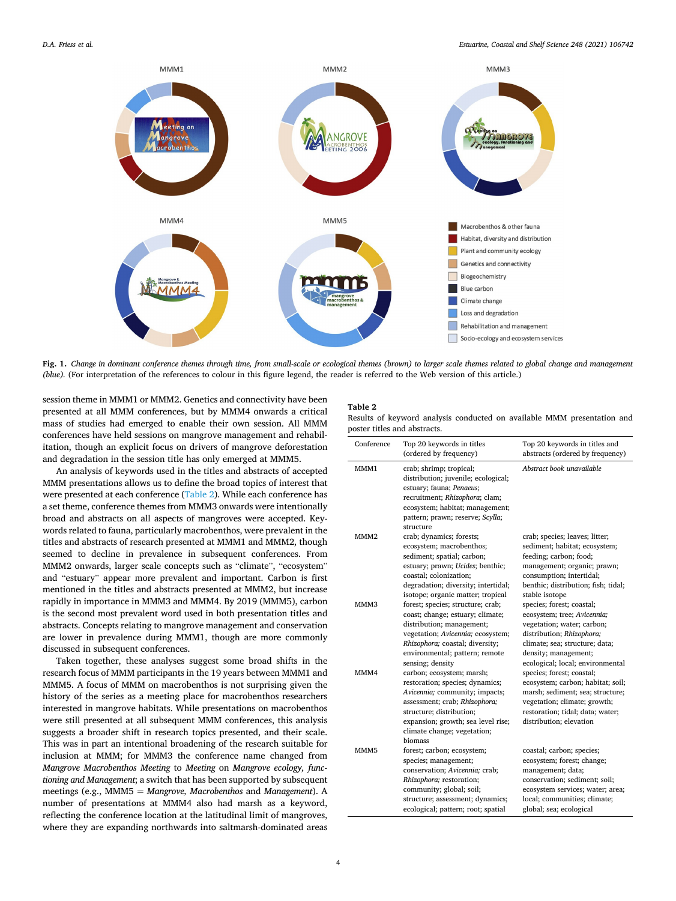<span id="page-3-0"></span>

**Fig. 1.** *Change in dominant conference themes through time, from small-scale or ecological themes (brown) to larger scale themes related to global change and management (blue).* (For interpretation of the references to colour in this figure legend, the reader is referred to the Web version of this article.)

session theme in MMM1 or MMM2. Genetics and connectivity have been presented at all MMM conferences, but by MMM4 onwards a critical mass of studies had emerged to enable their own session. All MMM conferences have held sessions on mangrove management and rehabilitation, though an explicit focus on drivers of mangrove deforestation and degradation in the session title has only emerged at MMM5.

An analysis of keywords used in the titles and abstracts of accepted MMM presentations allows us to define the broad topics of interest that were presented at each conference (Table 2). While each conference has a set theme, conference themes from MMM3 onwards were intentionally broad and abstracts on all aspects of mangroves were accepted. Keywords related to fauna, particularly macrobenthos, were prevalent in the titles and abstracts of research presented at MMM1 and MMM2, though seemed to decline in prevalence in subsequent conferences. From MMM2 onwards, larger scale concepts such as "climate", "ecosystem" and "estuary" appear more prevalent and important. Carbon is first mentioned in the titles and abstracts presented at MMM2, but increase rapidly in importance in MMM3 and MMM4. By 2019 (MMM5), carbon is the second most prevalent word used in both presentation titles and abstracts. Concepts relating to mangrove management and conservation are lower in prevalence during MMM1, though are more commonly discussed in subsequent conferences.

Taken together, these analyses suggest some broad shifts in the research focus of MMM participants in the 19 years between MMM1 and MMM5. A focus of MMM on macrobenthos is not surprising given the history of the series as a meeting place for macrobenthos researchers interested in mangrove habitats. While presentations on macrobenthos were still presented at all subsequent MMM conferences, this analysis suggests a broader shift in research topics presented, and their scale. This was in part an intentional broadening of the research suitable for inclusion at MMM; for MMM3 the conference name changed from *Mangrove Macrobenthos Meeting* to *Meeting* on *Mangrove ecology, functioning and Management*; a switch that has been supported by subsequent meetings (e.g., MMM5 = Mangrove, Macrobenthos and *Management*). A number of presentations at MMM4 also had marsh as a keyword, reflecting the conference location at the latitudinal limit of mangroves, where they are expanding northwards into saltmarsh-dominated areas

# **Table 2**

|  |                              |  |  | Results of keyword analysis conducted on available MMM presentation and |  |
|--|------------------------------|--|--|-------------------------------------------------------------------------|--|
|  | poster titles and abstracts. |  |  |                                                                         |  |

| Conference       | Top 20 keywords in titles<br>(ordered by frequency)                                                                                                                                                                                         | Top 20 keywords in titles and<br>abstracts (ordered by frequency)                                                                                                                                                 |
|------------------|---------------------------------------------------------------------------------------------------------------------------------------------------------------------------------------------------------------------------------------------|-------------------------------------------------------------------------------------------------------------------------------------------------------------------------------------------------------------------|
| MMM1             | crab; shrimp; tropical;<br>distribution; juvenile; ecological;<br>estuary; fauna; Penaeus;<br>recruitment; Rhizophora; clam;<br>ecosystem; habitat; management;<br>pattern; prawn; reserve; Scylla;<br>structure                            | Abstract book unavailable                                                                                                                                                                                         |
| MMM <sub>2</sub> | crab; dynamics; forests;<br>ecosystem; macrobenthos;<br>sediment; spatial; carbon;<br>estuary; prawn; Ucides; benthic;<br>coastal; colonization;<br>degradation; diversity; intertidal;<br>isotope; organic matter; tropical                | crab; species; leaves; litter;<br>sediment; habitat; ecosystem;<br>feeding; carbon; food;<br>management; organic; prawn;<br>consumption; intertidal;<br>benthic; distribution; fish; tidal;<br>stable isotope     |
| MMM3             | forest; species; structure; crab;<br>coast; change; estuary; climate;<br>distribution; management;<br>vegetation; Avicennia; ecosystem;<br>Rhizophora; coastal; diversity;<br>environmental; pattern; remote<br>sensing; density            | species; forest; coastal;<br>ecosystem; tree; Avicennia;<br>vegetation; water; carbon;<br>distribution; Rhizophora;<br>climate; sea; structure; data;<br>density; management;<br>ecological; local; environmental |
| MMM4             | carbon; ecosystem; marsh;<br>restoration; species; dynamics;<br>Avicennia; community; impacts;<br>assessment; crab; Rhizophora;<br>structure; distribution;<br>expansion; growth; sea level rise;<br>climate change; vegetation;<br>biomass | species; forest; coastal;<br>ecosystem; carbon; habitat; soil;<br>marsh; sediment; sea; structure;<br>vegetation; climate; growth;<br>restoration; tidal; data; water;<br>distribution; elevation                 |
| MMM <sub>5</sub> | forest; carbon; ecosystem;<br>species; management;<br>conservation; Avicennia; crab;<br>Rhizophora; restoration;<br>community; global; soil;<br>structure; assessment; dynamics;<br>ecological; pattern; root; spatial                      | coastal; carbon; species;<br>ecosystem; forest; change;<br>management; data;<br>conservation; sediment; soil;<br>ecosystem services; water; area;<br>local; communities; climate;<br>global; sea; ecological      |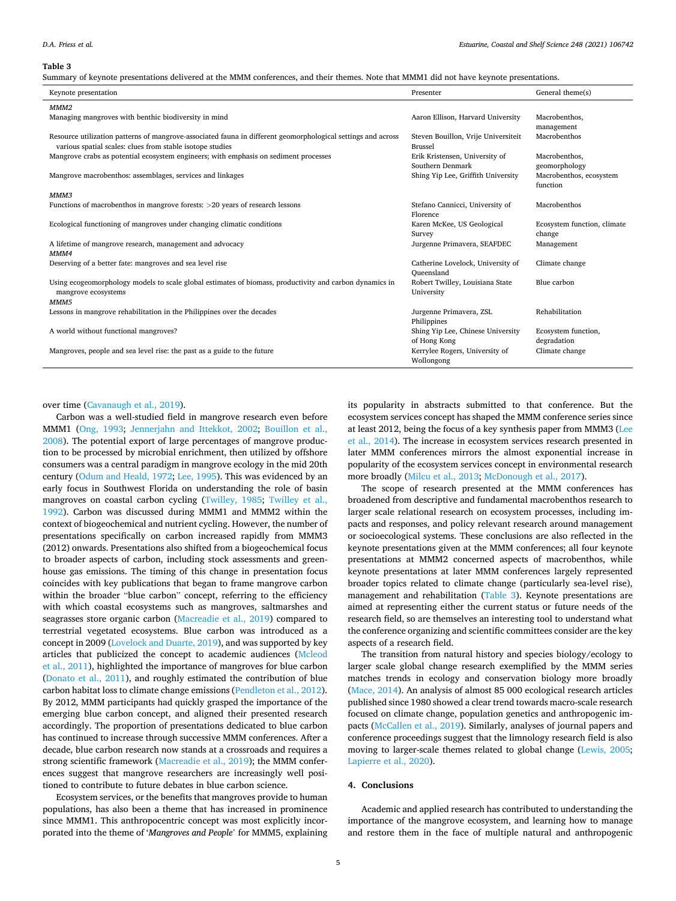#### **Table 3**

Summary of keynote presentations delivered at the MMM conferences, and their themes. Note that MMM1 did not have keynote presentations.

| Presenter                                    | General theme(s)                                                                                                                                                                                                |
|----------------------------------------------|-----------------------------------------------------------------------------------------------------------------------------------------------------------------------------------------------------------------|
|                                              |                                                                                                                                                                                                                 |
| Aaron Ellison, Harvard University            | Macrobenthos,                                                                                                                                                                                                   |
|                                              | management                                                                                                                                                                                                      |
|                                              | Macrobenthos                                                                                                                                                                                                    |
|                                              |                                                                                                                                                                                                                 |
| Southern Denmark                             | Macrobenthos,<br>geomorphology                                                                                                                                                                                  |
| Shing Yip Lee, Griffith University           | Macrobenthos, ecosystem<br>function                                                                                                                                                                             |
|                                              |                                                                                                                                                                                                                 |
| Stefano Cannicci, University of              | Macrobenthos                                                                                                                                                                                                    |
|                                              |                                                                                                                                                                                                                 |
|                                              | Ecosystem function, climate                                                                                                                                                                                     |
|                                              | change                                                                                                                                                                                                          |
|                                              | Management                                                                                                                                                                                                      |
|                                              |                                                                                                                                                                                                                 |
| Oueensland                                   | Climate change                                                                                                                                                                                                  |
| Robert Twilley, Louisiana State              | Blue carbon                                                                                                                                                                                                     |
| University                                   |                                                                                                                                                                                                                 |
|                                              |                                                                                                                                                                                                                 |
| Jurgenne Primavera, ZSL                      | Rehabilitation                                                                                                                                                                                                  |
| Philippines                                  |                                                                                                                                                                                                                 |
| Shing Yip Lee, Chinese University            | Ecosystem function,                                                                                                                                                                                             |
| of Hong Kong                                 | degradation                                                                                                                                                                                                     |
| Kerrylee Rogers, University of<br>Wollongong | Climate change                                                                                                                                                                                                  |
|                                              | Steven Bouillon, Vrije Universiteit<br><b>Brussel</b><br>Erik Kristensen, University of<br>Florence<br>Karen McKee, US Geological<br>Survey<br>Jurgenne Primavera, SEAFDEC<br>Catherine Lovelock, University of |

over time ([Cavanaugh et al., 2019\)](#page-5-0).

Carbon was a well-studied field in mangrove research even before MMM1 [\(Ong, 1993;](#page-6-0) [Jennerjahn and Ittekkot, 2002](#page-5-0); [Bouillon et al.,](#page-5-0)  [2008\)](#page-5-0). The potential export of large percentages of mangrove production to be processed by microbial enrichment, then utilized by offshore consumers was a central paradigm in mangrove ecology in the mid 20th century ([Odum and Heald, 1972;](#page-6-0) [Lee, 1995\)](#page-5-0). This was evidenced by an early focus in Southwest Florida on understanding the role of basin mangroves on coastal carbon cycling ([Twilley, 1985](#page-6-0); [Twilley et al.,](#page-6-0)  [1992\)](#page-6-0). Carbon was discussed during MMM1 and MMM2 within the context of biogeochemical and nutrient cycling. However, the number of presentations specifically on carbon increased rapidly from MMM3 (2012) onwards. Presentations also shifted from a biogeochemical focus to broader aspects of carbon, including stock assessments and greenhouse gas emissions. The timing of this change in presentation focus coincides with key publications that began to frame mangrove carbon within the broader "blue carbon" concept, referring to the efficiency with which coastal ecosystems such as mangroves, saltmarshes and seagrasses store organic carbon [\(Macreadie et al., 2019\)](#page-5-0) compared to terrestrial vegetated ecosystems. Blue carbon was introduced as a concept in 2009 [\(Lovelock and Duarte, 2019\)](#page-5-0), and was supported by key articles that publicized the concept to academic audiences ([Mcleod](#page-5-0)  [et al., 2011\)](#page-5-0), highlighted the importance of mangroves for blue carbon ([Donato et al., 2011\)](#page-5-0), and roughly estimated the contribution of blue carbon habitat loss to climate change emissions [\(Pendleton et al., 2012](#page-6-0)). By 2012, MMM participants had quickly grasped the importance of the emerging blue carbon concept, and aligned their presented research accordingly. The proportion of presentations dedicated to blue carbon has continued to increase through successive MMM conferences. After a decade, blue carbon research now stands at a crossroads and requires a strong scientific framework ([Macreadie et al., 2019](#page-5-0)); the MMM conferences suggest that mangrove researchers are increasingly well positioned to contribute to future debates in blue carbon science.

Ecosystem services, or the benefits that mangroves provide to human populations, has also been a theme that has increased in prominence since MMM1. This anthropocentric concept was most explicitly incorporated into the theme of '*Mangroves and People*' for MMM5, explaining its popularity in abstracts submitted to that conference. But the ecosystem services concept has shaped the MMM conference series since at least 2012, being the focus of a key synthesis paper from MMM3 ([Lee](#page-5-0)  [et al., 2014](#page-5-0)). The increase in ecosystem services research presented in later MMM conferences mirrors the almost exponential increase in popularity of the ecosystem services concept in environmental research more broadly ([Milcu et al., 2013](#page-5-0); [McDonough et al., 2017](#page-5-0)).

The scope of research presented at the MMM conferences has broadened from descriptive and fundamental macrobenthos research to larger scale relational research on ecosystem processes, including impacts and responses, and policy relevant research around management or socioecological systems. These conclusions are also reflected in the keynote presentations given at the MMM conferences; all four keynote presentations at MMM2 concerned aspects of macrobenthos, while keynote presentations at later MMM conferences largely represented broader topics related to climate change (particularly sea-level rise), management and rehabilitation (Table 3). Keynote presentations are aimed at representing either the current status or future needs of the research field, so are themselves an interesting tool to understand what the conference organizing and scientific committees consider are the key aspects of a research field.

The transition from natural history and species biology/ecology to larger scale global change research exemplified by the MMM series matches trends in ecology and conservation biology more broadly ([Mace, 2014\)](#page-5-0). An analysis of almost 85 000 ecological research articles published since 1980 showed a clear trend towards macro-scale research focused on climate change, population genetics and anthropogenic impacts [\(McCallen et al., 2019\)](#page-5-0). Similarly, analyses of journal papers and conference proceedings suggest that the limnology research field is also moving to larger-scale themes related to global change [\(Lewis, 2005](#page-5-0); [Lapierre et al., 2020](#page-5-0)).

## **4. Conclusions**

Academic and applied research has contributed to understanding the importance of the mangrove ecosystem, and learning how to manage and restore them in the face of multiple natural and anthropogenic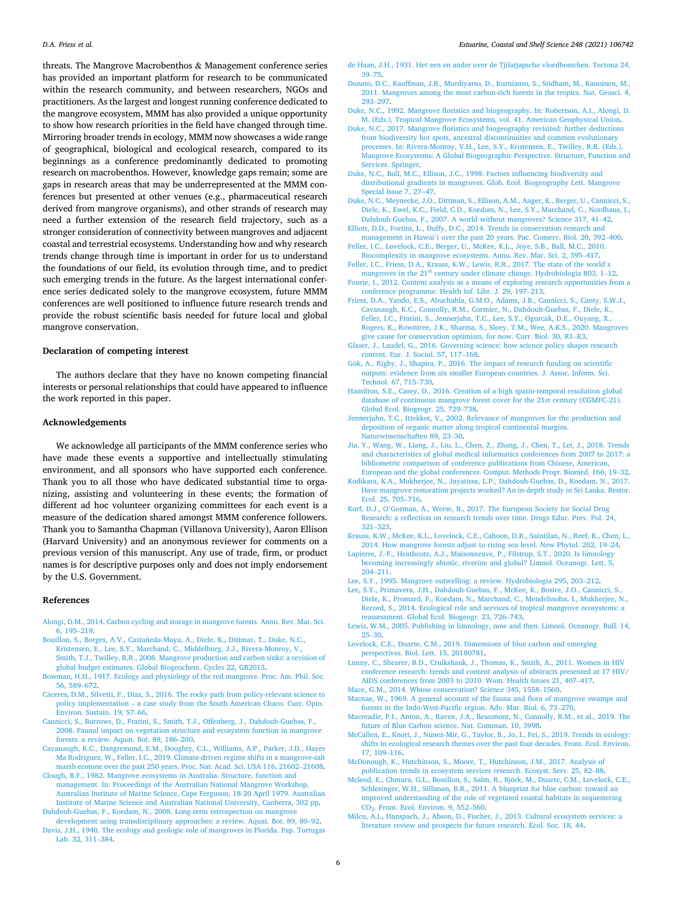<span id="page-5-0"></span>threats. The Mangrove Macrobenthos & Management conference series has provided an important platform for research to be communicated within the research community, and between researchers, NGOs and practitioners. As the largest and longest running conference dedicated to the mangrove ecosystem, MMM has also provided a unique opportunity to show how research priorities in the field have changed through time. Mirroring broader trends in ecology, MMM now showcases a wide range of geographical, biological and ecological research, compared to its beginnings as a conference predominantly dedicated to promoting research on macrobenthos. However, knowledge gaps remain; some are gaps in research areas that may be underrepresented at the MMM conferences but presented at other venues (e.g., pharmaceutical research derived from mangrove organisms), and other strands of research may need a further extension of the research field trajectory, such as a stronger consideration of connectivity between mangroves and adjacent coastal and terrestrial ecosystems. Understanding how and why research trends change through time is important in order for us to understand the foundations of our field, its evolution through time, and to predict such emerging trends in the future. As the largest international conference series dedicated solely to the mangrove ecosystem, future MMM conferences are well positioned to influence future research trends and provide the robust scientific basis needed for future local and global mangrove conservation.

## **Declaration of competing interest**

The authors declare that they have no known competing financial interests or personal relationships that could have appeared to influence the work reported in this paper.

#### **Acknowledgements**

We acknowledge all participants of the MMM conference series who have made these events a supportive and intellectually stimulating environment, and all sponsors who have supported each conference. Thank you to all those who have dedicated substantial time to organizing, assisting and volunteering in these events; the formation of different ad hoc volunteer organizing committees for each event is a measure of the dedication shared amongst MMM conference followers. Thank you to Samantha Chapman (Villanova University), Aaron Ellison (Harvard University) and an anonymous reviewer for comments on a previous version of this manuscript. Any use of trade, firm, or product names is for descriptive purposes only and does not imply endorsement by the U.S. Government.

#### **References**

- Alongi, D.M., 2014. Carbon cycling and storage in mangrove forests. Annu. Rev. Mar. Sci. 6, 195–219.
- Bouillon, S., Borges, A.V., Castañeda-Moya, A., Diele, K., Dittmar, T., Duke, N.C., Kristensen, E., Lee, S.Y., Marchand, C., Middelburg, J.J., Rivera-Monroy, V., Smith, T.J., Twilley, R.R., 2008. Mangrove production and carbon sinks: a revision of
- global budget estimates. Global Biogeochem. Cycles 22, GB2013. Bowman, H.H., 1917. Ecology and physiology of the red mangrove. Proc. Am. Phil. Soc. 56, 589–672.
- Cáceres, D.M., Silvetti, F., Diaz, S., 2016. The rocky path from policy-relevant science to policy implementation – a case study from the South American Chaco. Curr. Opin. Environ. Sustain. 19, 57–66.
- Cannicci, S., Burrows, D., Fratini, S., Smith, T.J., Offenberg, J., Dahdouh-Guebas, F., 2008. Faunal impact on vegetation structure and ecosystem function in mangrove forests: a review. Aquat. Bot. 89, 186–200.
- Cavanaugh, K.C., Dangremond, E.M., Doughty, C.L., Williams, A.P., Parker, J.D., Hayes Ma Rodriguez, W., Feller, I.C., 2019. Climate-driven regime shifts in a mangrove-salt marsh ecotone over the past 250 years. Proc. Nat. Acad. Sci. USA 116, 21602–21608.
- Clough, B.F., 1982. Mangrove ecosystems in Australia. Structure, function and management. In: Proceedings of the Australian National Mangrove Workshop, Australian Institute of Marine Science, Cape Ferguson, 18-20 April 1979. Australian Institute of Marine Science and Australian National University, Canberra, 302 pp. Dahdouh-Guebas, F., Koedam, N., 2008. Long-term retrospection on mangrove

development using transdisciplinary approaches: a review. Aquat. Bot. 89, 80–92. Davis, J.H., 1940. The ecology and geologic role of mangroves in Florida. Pap. Tortugas Lab. 32, 311–384.

- de Haan, J.H., 1931. Het een en ander over de Tjilatjapsche vloedbosschen. Tectona 24, 39–75.
- Donato, D.C., Kauffman, J.B., Murdiyarso, D., Kurnianto, S., Stidham, M., Kanninen, M., 2011. Mangroves among the most carbon-rich forests in the tropics. Nat. Geosci. 4, 293–297.
- Duke, N.C., 1992. Mangrove floristics and biogeography. In: Robertson, A.I., Alongi, D. M. (Eds.), Tropical Mangrove Ecosystems, vol. 41. American Geophysical Union.
- Duke, N.C., 2017. Mangrove floristics and biogeography revisited: further deductions from biodiversity hot spots, ancestral discontinuities and common evolutionary processes. In: Rivera-Monroy, V.H., Lee, S.Y., Kristensen, E., Twilley, R.R. (Eds.), Mangrove Ecosystems: A Global Biogeographic Perspective. Structure, Function and Services. Springer.
- Duke, N.C., Ball, M.C., Ellison, J.C., 1998. Factors influencing biodiversity and distributional gradients in mangroves. Glob. Ecol. Biogeography Lett. Mangrove Special Issue 7, 27-47.
- Duke, N.C., Meynecke, J.O., Dittman, S., Ellison, A.M., Anger, K., Berger, U., Cannicci, S., Diele, K., Ewel, K.C., Field, C.D., Koedam, N., Lee, S.Y., Marchand, C., Nordhaus, I., Dahdouh-Guebas, F., 2007. A world without mangroves? Science 317, 41–42.
- Elliott, D.D., Fortini, L., Duffy, D.C., 2014. Trends in conservation research and management in Hawai'i over the past 20 years. Pac. Conserv. Biol. 20, 392–400. Feller, I.C., Lovelock, C.E., Berger, U., McKee, K.L., Joye, S.B., Ball, M.C., 2010.
- Biocomplexity in mangrove ecosystems. Annu. Rev. Mar. Sci. 2, 395–417. Feller, I.C., Friess, D.A., Krauss, K.W., Lewis, R.R., 2017. The state of the world'
- mangroves in the 21<sup>st</sup> century under climate change. Hydrobiologia 803, 1–12. Fourie, I., 2012. Content analysis as a means of exploring research opportunities from a
- conference programme. Health Inf. Libr. J. 29, 197–213. Friess, D.A., Yando, E.S., Abuchahla, G.M.O., Adams, J.B., Cannicci, S., Canty, S.W.J., Cavanaugh, K.C., Connolly, R.M., Cormier, N., Dahdouh-Guebas, F., Diele, K., Feller, I.C., Fratini, S., Jennerjahn, T.C., Lee, S.Y., Ogurcak, D.E., Ouyang, X., Rogers, K., Rowntree, J.K., Sharma, S., Sloey, T.M., Wee, A.K.S., 2020. Mangroves give cause for conservation optimism, for now. Curr. Biol. 30, R1–R3.
- Glaser, J., Laudel, G., 2016. Governing science: how science policy shapes research content. Eur. J. Sociol. 57, 117–168.
- Gök, A., Rigby, J., Shapira, P., 2016. The impact of research funding on scientific outputs: evidence from six smaller European countries. J. Assoc. Inform. Sci. Technol. 67, 715–730.
- Hamilton, S.E., Casey, D., 2016. Creation of a high spatio-temporal resolution global database of continuous mangrove forest cover for the 21st century (CGMFC-21). Global Ecol. Biogeogr. 25, 729–738.
- Jennerjahn, T.C., Ittekkot, V., 2002. Relevance of mangroves for the production and deposition of organic matter along tropical continental margins. Naturwissenschaften 89, 23–30.
- Jia, Y., Wang, W., Liang, J., Liu, L., Chen, Z., Zhang, J., Chen, T., Lei, J., 2018. Trends and characteristics of global medical informatics conferences from 2007 to 2017: a bibliometric comparison of conference publications from Chinese, American, European and the global conferences. Comput. Methods Progr. Biomed. 166, 19–32.
- Kodikara, K.A., Mukherjee, N., Jayatissa, L.P., Dahdouh-Guebas, D., Koedam, N., 2017. Have mangrove restoration projects worked? An in-depth study in Sri Lanka. Restor. Ecol. 25, 705–716.
- Korf, D.J., O'Gorman, A., Werse, B., 2017. The European Society for Social Drug Research: a reflection on research trends over time. Drugs Educ. Prev. Pol. 24, 321–323.
- Krauss, K.W., McKee, K.L., Lovelock, C.E., Cahoon, D.R., Saintilan, N., Reef, R., Chen, L., 2014. How mangrove forests adjust to rising sea level. New Phytol. 202, 19–24.
- Lapierre, J.-F., Heathcote, A.J., Maisonneuve, P., Filstrup, S.T., 2020. Is limnology becoming increasingly abiotic, riverine and global? Limnol. Oceanogr. Lett. 5, 204–211.
- Lee, S.Y., 1995. Mangrove outwelling: a review. Hydrobiologia 295, 203–212.
- Lee, S.Y., Primavera, J.H., Dahdouh-Guebas, F., McKee, K., Bosire, J.O., Cannicci, S., Diele, K., Fromard, F., Koedam, N., Marchand, C., Mendelssohn, I., Mukherjee, N., Record, S., 2014. Ecological role and services of tropical mangrove ecosystems: a reassessment. Global Ecol. Biogeogr. 23, 726–743.
- Lewis, W.M., 2005. Publishing in limnology, now and then. Limnol. Oceanogr. Bull. 14, 25–30.
- Lovelock, C.E., Duarte, C.M., 2019. Dimensions of blue carbon and emerging perspectives. Biol. Lett. 15, 20180781.
- Lunny, C., Shearer, B.D., Cruikshank, J., Thomas, K., Smith, A., 2011. Women in HIV conference research: trends and content analysis of abstracts presented at 17 HIV/ AIDS conferences from 2003 to 2010. Wom. Health Issues 21, 407–417.
- Mace, G.M., 2014. Whose conservation? Science 345, 1558–1560.
- Macnae, W., 1969. A general account of the fauna and flora of mangrove swamps and forests in the Indo-West-Pacific region. Adv. Mar. Biol. 6, 73–270.
- Macreadie, P.I., Anton, A., Raven, J.A., Beaumont, N., Connolly, R.M., et al., 2019. The future of Blue Carbon science. Nat. Commun. 10, 3998.
- McCallen, E., Knott, J., Nunez-Mir, G., Taylor, B., Jo, I., Fei, S., 2019. Trends in ecology: shifts in ecological research themes over the past four decades. Front. Ecol. Environ. 17, 109–116.
- McDonough, K., Hutchinson, S., Moore, T., Hutchinson, J.M., 2017. Analysis of publication trends in ecosystem services research. Ecosyst. Serv. 25, 82–88.
- Mcleod, E., Chmura, G.L., Bouillon, S., Salm, R., Björk, M., Duarte, C.M., Lovelock, C.E., Schlesinger, W.H., Silliman, B.R., 2011. A blueprint for blue carbon: toward an improved understanding of the role of vegetated coastal habitats in sequestering CO2. Front. Ecol. Environ. 9, 552–560.
- Milcu, A.I., Hanspach, J., Abson, D., Fischer, J., 2013. Cultural ecosystem services: a literature review and prospects for future research. Ecol. Soc. 18, 44.